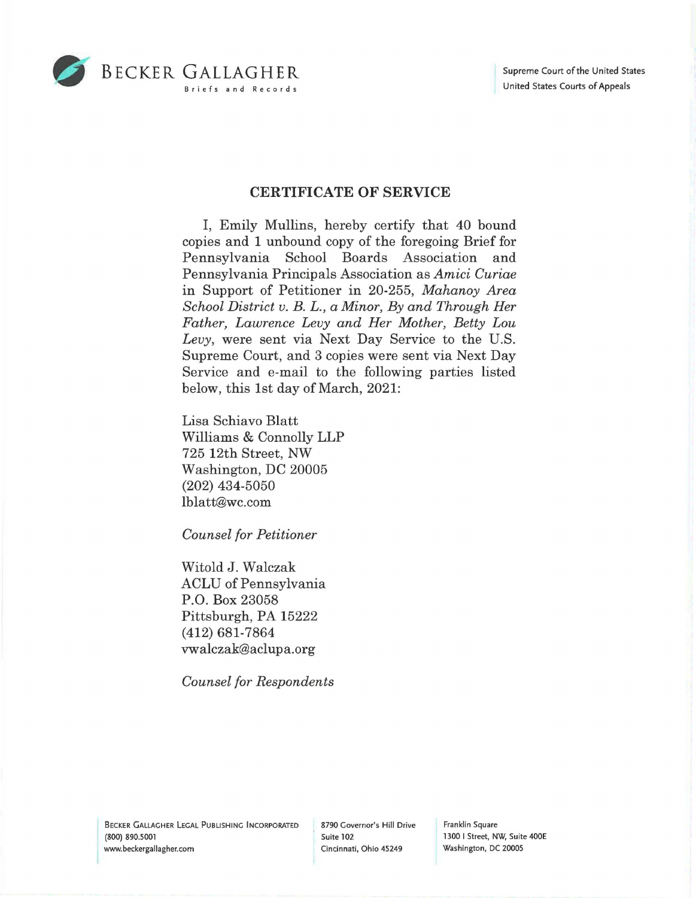

## **CERTIFICATE OF SERVICE**

I, Emily Mullins, hereby certify that 40 bound copies and 1 unbound copy of the foregoing Brief for Pennsylvania School Boards Association and Pennsylvania Principals Association as *Amici Curiae*  in Support of Petitioner in 20-255, *Mahanoy Area School District v. B. L., a Minor, By and Through Her Father, Lawrence Levy and Her Mother, Betty Lou Levy,* were sent via Next Day Service to the U.S. Supreme Court, and 3 copies were sent via Next Day Service and e-mail to the following parties listed below, this 1st day of March, 2021:

Lisa Schiavo Blatt Williams & Connolly LLP 725 12th Street, NW Washington, DC 20005 (202) 434-5050 lblatt@wc.com

*Counsel for Petitioner* 

Witold J. Walczak ACLU of Pennsylvania P.O. Box 23058 Pittsburgh, PA 15222 (412) 681-7864 vwalczak@aclupa.org

*Counsel for Respondents* 

Franklin Square 1300 I Street, NW, Suite 400E Washington, DC 20005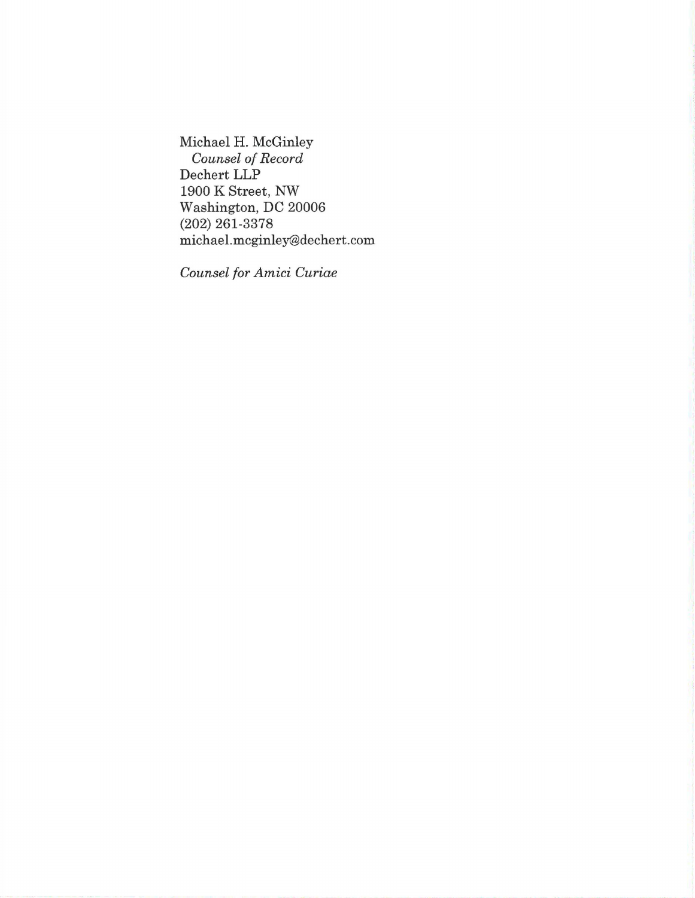Michael H. McGinley *Counsel of Record*  Dechert **LLP**  1900 K Street, NW Washington, DC 20006 (202) 261-3378 michael.mcginley@dechert.com

*Counsel for Amici Curiae*